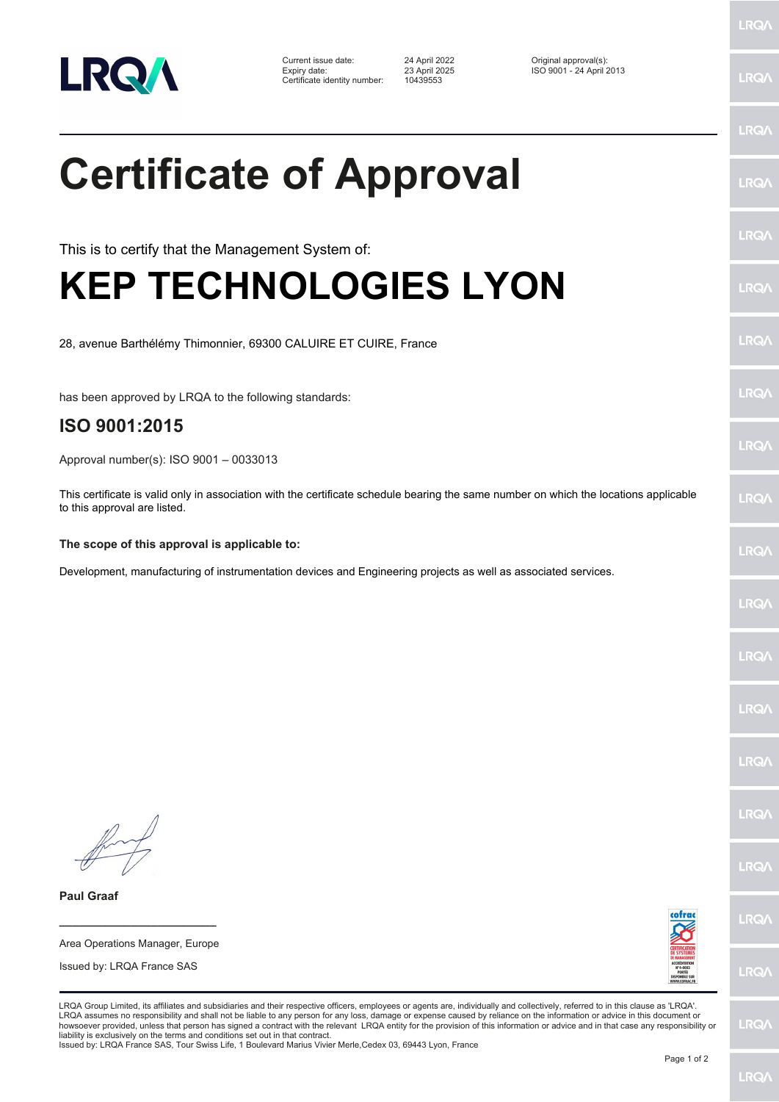

Current issue date: 24 April 2022 Original approval(s): Expiry date: 23 April 2025 ISO 9001 - 24 April 2013 Certificate identity number: 10439553

LRQ/

LRQ/

## LRQ/ **Certificate of Approval** LRQ/ LRQ/ This is to certify that the Management System of: **KEP TECHNOLOGIES LYON** LRQ/ LRQ/ 28, avenue Barthélémy Thimonnier, 69300 CALUIRE ET CUIRE, France LRQ/ has been approved by LRQA to the following standards: **ISO 9001:2015 LRQA** Approval number(s): ISO 9001 – 0033013 This certificate is valid only in association with the certificate schedule bearing the same number on which the locations applicable **LRO** to this approval are listed. **The scope of this approval is applicable to:** LRQ/ Development, manufacturing of instrumentation devices and Engineering projects as well as associated services.LRQ/ LRQ/ LRQ/ LRQ/ **LRO/** LRQ/ **Paul Graaf** LRQ/ **\_\_\_\_\_\_\_\_\_\_\_\_\_\_\_\_\_\_\_\_\_\_\_\_** Area Operations Manager, Europe Issued by: LRQA France SAS LRQ/ LRQA Group Limited, its affiliates and subsidiaries and their respective officers, employees or agents are, individually and collectively, referred to in this clause as 'LRQA'. LRQA assumes no responsibility and shall not be liable to any person for any loss, damage or expense caused by reliance on the information or advice in this document or<br>howsoever provided, unless that person has signed a c LRQ/ liability is exclusively on the terms and conditions set out in that contract.

Issued by: LRQA France SAS, Tour Swiss Life, 1 Boulevard Marius Vivier Merle,Cedex 03, 69443 Lyon, France